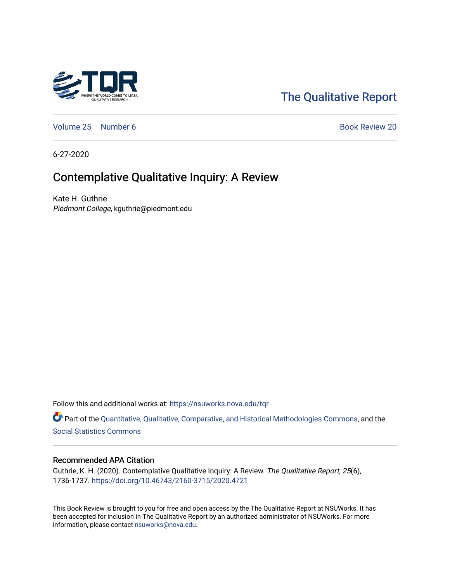

# [The Qualitative Report](https://nsuworks.nova.edu/tqr)

[Volume 25](https://nsuworks.nova.edu/tqr/vol25) [Number 6](https://nsuworks.nova.edu/tqr/vol25/iss6) Book Review 20

6-27-2020

# Contemplative Qualitative Inquiry: A Review

Kate H. Guthrie Piedmont College, kguthrie@piedmont.edu

Follow this and additional works at: [https://nsuworks.nova.edu/tqr](https://nsuworks.nova.edu/tqr?utm_source=nsuworks.nova.edu%2Ftqr%2Fvol25%2Fiss6%2F20&utm_medium=PDF&utm_campaign=PDFCoverPages) 

Part of the [Quantitative, Qualitative, Comparative, and Historical Methodologies Commons,](http://network.bepress.com/hgg/discipline/423?utm_source=nsuworks.nova.edu%2Ftqr%2Fvol25%2Fiss6%2F20&utm_medium=PDF&utm_campaign=PDFCoverPages) and the [Social Statistics Commons](http://network.bepress.com/hgg/discipline/1275?utm_source=nsuworks.nova.edu%2Ftqr%2Fvol25%2Fiss6%2F20&utm_medium=PDF&utm_campaign=PDFCoverPages) 

#### Recommended APA Citation

Guthrie, K. H. (2020). Contemplative Qualitative Inquiry: A Review. The Qualitative Report, 25(6), 1736-1737. <https://doi.org/10.46743/2160-3715/2020.4721>

This Book Review is brought to you for free and open access by the The Qualitative Report at NSUWorks. It has been accepted for inclusion in The Qualitative Report by an authorized administrator of NSUWorks. For more information, please contact [nsuworks@nova.edu.](mailto:nsuworks@nova.edu)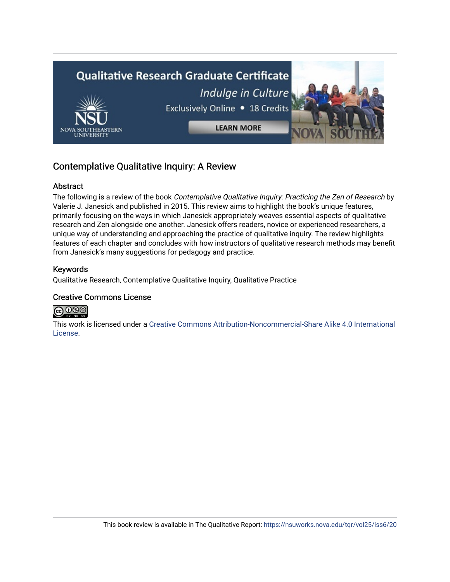

### Contemplative Qualitative Inquiry: A Review

#### Abstract

The following is a review of the book Contemplative Qualitative Inquiry: Practicing the Zen of Research by Valerie J. Janesick and published in 2015. This review aims to highlight the book's unique features, primarily focusing on the ways in which Janesick appropriately weaves essential aspects of qualitative research and Zen alongside one another. Janesick offers readers, novice or experienced researchers, a unique way of understanding and approaching the practice of qualitative inquiry. The review highlights features of each chapter and concludes with how instructors of qualitative research methods may benefit from Janesick's many suggestions for pedagogy and practice.

#### Keywords

Qualitative Research, Contemplative Qualitative Inquiry, Qualitative Practice

#### Creative Commons License



This work is licensed under a [Creative Commons Attribution-Noncommercial-Share Alike 4.0 International](https://creativecommons.org/licenses/by-nc-sa/4.0/)  [License](https://creativecommons.org/licenses/by-nc-sa/4.0/).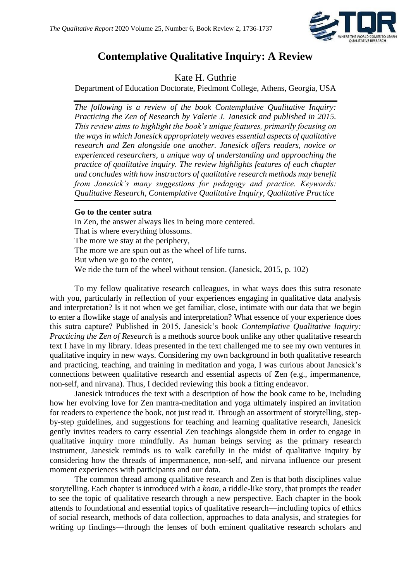

### **Contemplative Qualitative Inquiry: A Review**

Kate H. Guthrie

Department of Education Doctorate, Piedmont College, Athens, Georgia, USA

*The following is a review of the book Contemplative Qualitative Inquiry: Practicing the Zen of Research by Valerie J. Janesick and published in 2015. This review aims to highlight the book's unique features, primarily focusing on the ways in which Janesick appropriately weaves essential aspects of qualitative research and Zen alongside one another. Janesick offers readers, novice or experienced researchers, a unique way of understanding and approaching the practice of qualitative inquiry. The review highlights features of each chapter and concludes with how instructors of qualitative research methods may benefit from Janesick's many suggestions for pedagogy and practice. Keywords: Qualitative Research, Contemplative Qualitative Inquiry, Qualitative Practice*

#### **Go to the center sutra**

In Zen, the answer always lies in being more centered. That is where everything blossoms. The more we stay at the periphery, The more we are spun out as the wheel of life turns. But when we go to the center, We ride the turn of the wheel without tension. (Janesick, 2015, p. 102)

To my fellow qualitative research colleagues, in what ways does this sutra resonate with you, particularly in reflection of your experiences engaging in qualitative data analysis and interpretation? Is it not when we get familiar, close, intimate with our data that we begin to enter a flowlike stage of analysis and interpretation? What essence of your experience does this sutra capture? Published in 2015, Janesick's book *Contemplative Qualitative Inquiry: Practicing the Zen of Research* is a methods source book unlike any other qualitative research text I have in my library. Ideas presented in the text challenged me to see my own ventures in qualitative inquiry in new ways. Considering my own background in both qualitative research and practicing, teaching, and training in meditation and yoga, I was curious about Janesick's connections between qualitative research and essential aspects of Zen (e.g., impermanence, non-self, and nirvana). Thus, I decided reviewing this book a fitting endeavor.

Janesick introduces the text with a description of how the book came to be, including how her evolving love for Zen mantra-meditation and yoga ultimately inspired an invitation for readers to experience the book, not just read it. Through an assortment of storytelling, stepby-step guidelines, and suggestions for teaching and learning qualitative research, Janesick gently invites readers to carry essential Zen teachings alongside them in order to engage in qualitative inquiry more mindfully. As human beings serving as the primary research instrument, Janesick reminds us to walk carefully in the midst of qualitative inquiry by considering how the threads of impermanence, non-self, and nirvana influence our present moment experiences with participants and our data.

The common thread among qualitative research and Zen is that both disciplines value storytelling. Each chapter is introduced with a *koan*, a riddle-like story, that prompts the reader to see the topic of qualitative research through a new perspective. Each chapter in the book attends to foundational and essential topics of qualitative research—including topics of ethics of social research, methods of data collection, approaches to data analysis, and strategies for writing up findings—through the lenses of both eminent qualitative research scholars and